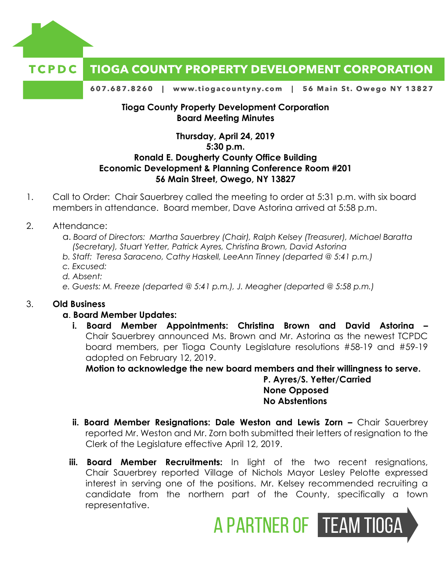

#### **TCPDC TIOGA COUNTY PROPERTY DEVELOPMENT CORPORATION**

607.687.8260 | www.tiogacountyny.com | 56 Main St. Owego NY 13827

#### **Tioga County Property Development Corporation Board Meeting Minutes**

# **Thursday, April 24, 2019 5:30 p.m. Ronald E. Dougherty County Office Building Economic Development & Planning Conference Room #201 56 Main Street, Owego, NY 13827**

- 1. Call to Order: Chair Sauerbrey called the meeting to order at 5:31 p.m. with six board members in attendance. Board member, Dave Astorina arrived at 5:58 p.m.
- 2. Attendance:
	- a. *Board of Directors: Martha Sauerbrey (Chair), Ralph Kelsey (Treasurer), Michael Baratta (Secretary), Stuart Yetter, Patrick Ayres, Christina Brown, David Astorina*
	- *b. Staff: Teresa Saraceno, Cathy Haskell, LeeAnn Tinney (departed @ 5:41 p.m.)*
	- *c. Excused:*
	- *d. Absent:*
	- *e. Guests: M. Freeze (departed @ 5:41 p.m.), J. Meagher (departed @ 5:58 p.m.)*

## 3. **Old Business**

#### **a**. **Board Member Updates:**

**i. Board Member Appointments: Christina Brown and David Astorina –**  Chair Sauerbrey announced Ms. Brown and Mr. Astorina as the newest TCPDC board members, per Tioga County Legislature resolutions #58-19 and #59-19 adopted on February 12, 2019.

**Motion to acknowledge the new board members and their willingness to serve.**

**P. Ayres/S. Yetter/Carried None Opposed No Abstentions**

- **ii. Board Member Resignations: Dale Weston and Lewis Zorn Chair Sauerbrey** reported Mr. Weston and Mr. Zorn both submitted their letters of resignation to the Clerk of the Legislature effective April 12, 2019.
- **iii. Board Member Recruitments:** In light of the two recent resignations, Chair Sauerbrey reported Village of Nichols Mayor Lesley Pelotte expressed interest in serving one of the positions. Mr. Kelsey recommended recruiting a candidate from the northern part of the County, specifically a town representative.

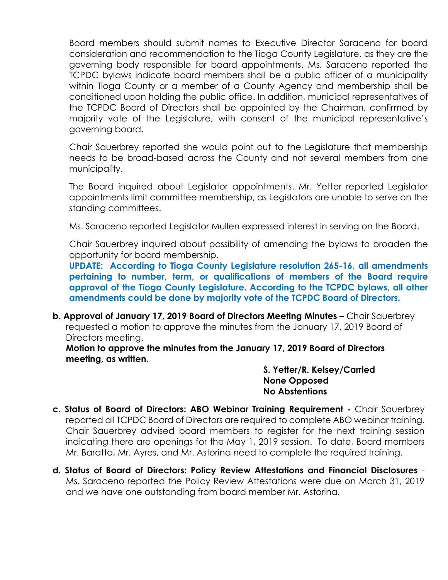Board members should submit names to Executive Director Saraceno for board consideration and recommendation to the Tioga County Legislature, as they are the governing body responsible for board appointments. Ms. Saraceno reported the TCPDC bylaws indicate board members shall be a public officer of a municipality within Tioga County or a member of a County Agency and membership shall be conditioned upon holding the public office. In addition, municipal representatives of the TCPDC Board of Directors shall be appointed by the Chairman, confirmed by majority vote of the Legislature, with consent of the municipal representative's governing board.

Chair Sauerbrey reported she would point out to the Legislature that membership needs to be broad-based across the County and not several members from one municipality.

The Board inquired about Legislator appointments. Mr. Yetter reported Legislator appointments limit committee membership, as Legislators are unable to serve on the standing committees.

Ms. Saraceno reported Legislator Mullen expressed interest in serving on the Board.

Chair Sauerbrey inquired about possibility of amending the bylaws to broaden the opportunity for board membership.

**UPDATE: According to Tioga County Legislature resolution 265-16, all amendments pertaining to number, term, or qualifications of members of the Board require approval of the Tioga County Legislature. According to the TCPDC bylaws, all other amendments could be done by majority vote of the TCPDC Board of Directors.** 

**b. Approval of January 17, 2019 Board of Directors Meeting Minutes –** Chair Sauerbrey requested a motion to approve the minutes from the January 17, 2019 Board of Directors meeting.

**Motion to approve the minutes from the January 17, 2019 Board of Directors meeting, as written.** 

> **S. Yetter/R. Kelsey/Carried None Opposed No Abstentions**

- **c. Status of Board of Directors: ABO Webinar Training Requirement -** Chair Sauerbrey reported all TCPDC Board of Directors are required to complete ABO webinar training. Chair Sauerbrey advised board members to register for the next training session indicating there are openings for the May 1, 2019 session. To date, Board members Mr. Baratta, Mr. Ayres, and Mr. Astorina need to complete the required training.
- **d. Status of Board of Directors: Policy Review Attestations and Financial Disclosures** Ms. Saraceno reported the Policy Review Attestations were due on March 31, 2019 and we have one outstanding from board member Mr. Astorina.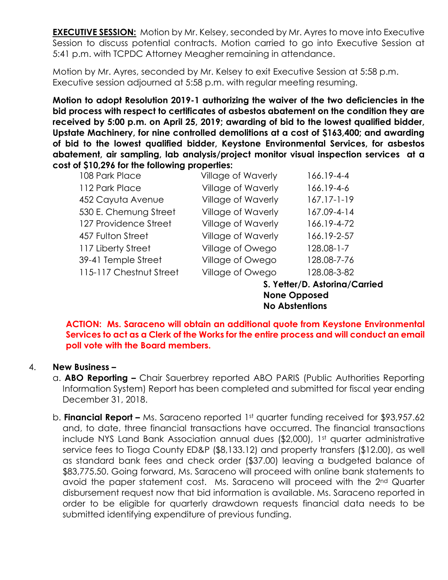**EXECUTIVE SESSION:** Motion by Mr. Kelsey, seconded by Mr. Ayres to move into Executive Session to discuss potential contracts. Motion carried to go into Executive Session at 5:41 p.m. with TCPDC Attorney Meagher remaining in attendance.

Motion by Mr. Ayres, seconded by Mr. Kelsey to exit Executive Session at 5:58 p.m. Executive session adjourned at 5:58 p.m. with regular meeting resuming.

**Motion to adopt Resolution 2019-1 authorizing the waiver of the two deficiencies in the bid process with respect to certificates of asbestos abatement on the condition they are received by 5:00 p.m. on April 25, 2019; awarding of bid to the lowest qualified bidder, Upstate Machinery, for nine controlled demolitions at a cost of \$163,400; and awarding of bid to the lowest qualified bidder, Keystone Environmental Services, for asbestos abatement, air sampling, lab analysis/project monitor visual inspection services at a cost of \$10,296 for the following properties:**

| 108 Park Place          | Village of Waverly        | 166.19-4-4        |
|-------------------------|---------------------------|-------------------|
| 112 Park Place          | Village of Waverly        | 166.19-4-6        |
| 452 Cayuta Avenue       | <b>Village of Waverly</b> | $167.17 - 1 - 19$ |
| 530 E. Chemung Street   | Village of Waverly        | 167.09-4-14       |
| 127 Providence Street   | Village of Waverly        | 166.19-4-72       |
| 457 Fulton Street       | <b>Village of Waverly</b> | 166.19-2-57       |
| 117 Liberty Street      | Village of Owego          | $128.08 - 1 - 7$  |
| 39-41 Temple Street     | Village of Owego          | 128.08-7-76       |
| 115-117 Chestnut Street | Village of Owego          | 128.08-3-82       |

 **S. Yetter/D. Astorina/Carried None Opposed No Abstentions**

**ACTION: Ms. Saraceno will obtain an additional quote from Keystone Environmental Services to act as a Clerk of the Works for the entire process and will conduct an email poll vote with the Board members.** 

## 4. **New Business –**

- a. **ABO Reporting –** Chair Sauerbrey reported ABO PARIS (Public Authorities Reporting Information System) Report has been completed and submitted for fiscal year ending December 31, 2018.
- b. **Financial Report –** Ms. Saraceno reported 1st quarter funding received for \$93,957.62 and, to date, three financial transactions have occurred. The financial transactions include NYS Land Bank Association annual dues (\$2,000), 1st quarter administrative service fees to Tioga County ED&P (\$8,133.12) and property transfers (\$12.00), as well as standard bank fees and check order (\$37.00) leaving a budgeted balance of \$83,775.50. Going forward, Ms. Saraceno will proceed with online bank statements to avoid the paper statement cost. Ms. Saraceno will proceed with the 2nd Quarter disbursement request now that bid information is available. Ms. Saraceno reported in order to be eligible for quarterly drawdown requests financial data needs to be submitted identifying expenditure of previous funding.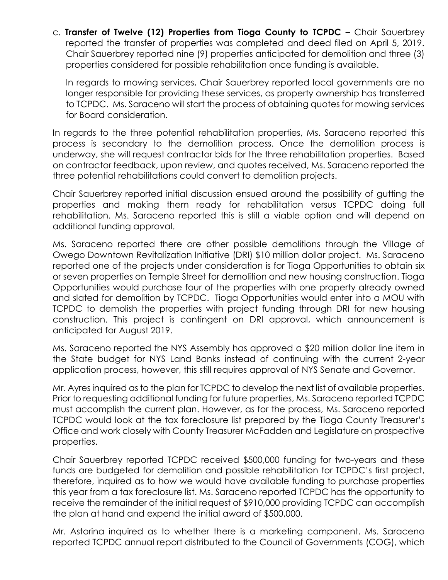c. **Transfer of Twelve (12) Properties from Tioga County to TCPDC –** Chair Sauerbrey reported the transfer of properties was completed and deed filed on April 5, 2019. Chair Sauerbrey reported nine (9) properties anticipated for demolition and three (3) properties considered for possible rehabilitation once funding is available.

In regards to mowing services, Chair Sauerbrey reported local governments are no longer responsible for providing these services, as property ownership has transferred to TCPDC. Ms. Saraceno will start the process of obtaining quotes for mowing services for Board consideration.

In regards to the three potential rehabilitation properties, Ms. Saraceno reported this process is secondary to the demolition process. Once the demolition process is underway, she will request contractor bids for the three rehabilitation properties. Based on contractor feedback, upon review, and quotes received, Ms. Saraceno reported the three potential rehabilitations could convert to demolition projects.

Chair Sauerbrey reported initial discussion ensued around the possibility of gutting the properties and making them ready for rehabilitation versus TCPDC doing full rehabilitation. Ms. Saraceno reported this is still a viable option and will depend on additional funding approval.

Ms. Saraceno reported there are other possible demolitions through the Village of Owego Downtown Revitalization Initiative (DRI) \$10 million dollar project. Ms. Saraceno reported one of the projects under consideration is for Tioga Opportunities to obtain six or seven properties on Temple Street for demolition and new housing construction. Tioga Opportunities would purchase four of the properties with one property already owned and slated for demolition by TCPDC. Tioga Opportunities would enter into a MOU with TCPDC to demolish the properties with project funding through DRI for new housing construction. This project is contingent on DRI approval, which announcement is anticipated for August 2019.

Ms. Saraceno reported the NYS Assembly has approved a \$20 million dollar line item in the State budget for NYS Land Banks instead of continuing with the current 2-year application process, however, this still requires approval of NYS Senate and Governor.

Mr. Ayres inquired as to the plan for TCPDC to develop the next list of available properties. Prior to requesting additional funding for future properties, Ms. Saraceno reported TCPDC must accomplish the current plan. However, as for the process, Ms. Saraceno reported TCPDC would look at the tax foreclosure list prepared by the Tioga County Treasurer's Office and work closely with County Treasurer McFadden and Legislature on prospective properties.

Chair Sauerbrey reported TCPDC received \$500,000 funding for two-years and these funds are budgeted for demolition and possible rehabilitation for TCPDC's first project, therefore, inquired as to how we would have available funding to purchase properties this year from a tax foreclosure list. Ms. Saraceno reported TCPDC has the opportunity to receive the remainder of the initial request of \$910,000 providing TCPDC can accomplish the plan at hand and expend the initial award of \$500,000.

Mr. Astorina inquired as to whether there is a marketing component. Ms. Saraceno reported TCPDC annual report distributed to the Council of Governments (COG), which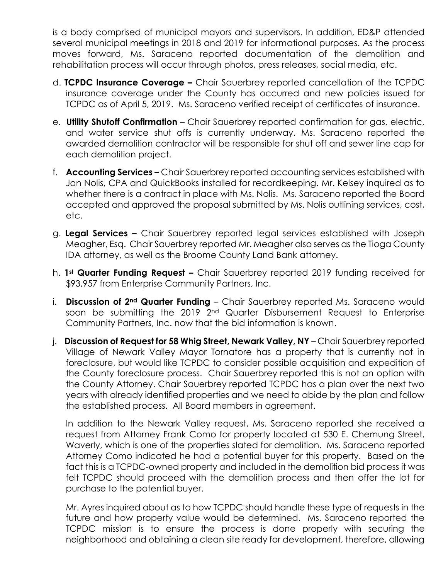is a body comprised of municipal mayors and supervisors. In addition, ED&P attended several municipal meetings in 2018 and 2019 for informational purposes. As the process moves forward, Ms. Saraceno reported documentation of the demolition and rehabilitation process will occur through photos, press releases, social media, etc.

- d. **TCPDC Insurance Coverage –** Chair Sauerbrey reported cancellation of the TCPDC insurance coverage under the County has occurred and new policies issued for TCPDC as of April 5, 2019. Ms. Saraceno verified receipt of certificates of insurance.
- e. **Utility Shutoff Confirmation** Chair Sauerbrey reported confirmation for gas, electric, and water service shut offs is currently underway. Ms. Saraceno reported the awarded demolition contractor will be responsible for shut off and sewer line cap for each demolition project.
- f. **Accounting Services –** Chair Sauerbrey reported accounting services established with Jan Nolis, CPA and QuickBooks installed for recordkeeping. Mr. Kelsey inquired as to whether there is a contract in place with Ms. Nolis. Ms. Saraceno reported the Board accepted and approved the proposal submitted by Ms. Nolis outlining services, cost, etc.
- g. **Legal Services –** Chair Sauerbrey reported legal services established with Joseph Meagher, Esq. Chair Sauerbrey reported Mr. Meagher also serves as the Tioga County IDA attorney, as well as the Broome County Land Bank attorney.
- h. **1st Quarter Funding Request –** Chair Sauerbrey reported 2019 funding received for \$93,957 from Enterprise Community Partners, Inc.
- i. **Discussion of 2nd Quarter Funding** Chair Sauerbrey reported Ms. Saraceno would soon be submitting the 2019 2<sup>nd</sup> Quarter Disbursement Request to Enterprise Community Partners, Inc. now that the bid information is known.
- j. **Discussion of Request for 58 Whig Street, Newark Valley, NY** Chair Sauerbrey reported Village of Newark Valley Mayor Tornatore has a property that is currently not in foreclosure, but would like TCPDC to consider possible acquisition and expedition of the County foreclosure process. Chair Sauerbrey reported this is not an option with the County Attorney. Chair Sauerbrey reported TCPDC has a plan over the next two years with already identified properties and we need to abide by the plan and follow the established process. All Board members in agreement.

In addition to the Newark Valley request, Ms. Saraceno reported she received a request from Attorney Frank Como for property located at 530 E. Chemung Street, Waverly, which is one of the properties slated for demolition. Ms. Saraceno reported Attorney Como indicated he had a potential buyer for this property. Based on the fact this is a TCPDC-owned property and included in the demolition bid process it was felt TCPDC should proceed with the demolition process and then offer the lot for purchase to the potential buyer.

Mr. Ayres inquired about as to how TCPDC should handle these type of requests in the future and how property value would be determined. Ms. Saraceno reported the TCPDC mission is to ensure the process is done properly with securing the neighborhood and obtaining a clean site ready for development, therefore, allowing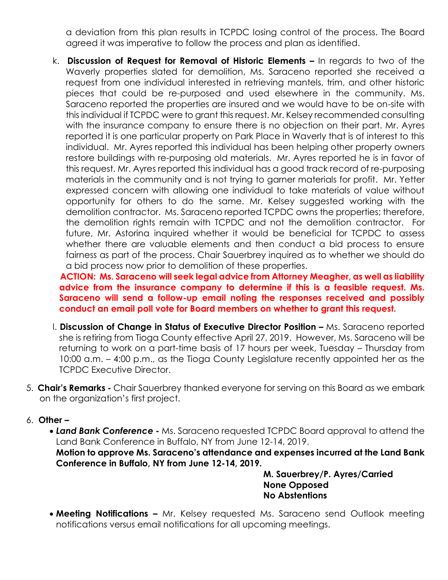a deviation from this plan results in TCPDC losing control of the process. The Board agreed it was imperative to follow the process and plan as identified.

k. **Discussion of Request for Removal of Historic Elements –** In regards to two of the Waverly properties slated for demolition, Ms. Saraceno reported she received a request from one individual interested in retrieving mantels, trim, and other historic pieces that could be re-purposed and used elsewhere in the community. Ms. Saraceno reported the properties are insured and we would have to be on-site with this individual if TCPDC were to grant this request. Mr. Kelsey recommended consulting with the insurance company to ensure there is no objection on their part. Mr. Ayres reported it is one particular property on Park Place in Waverly that is of interest to this individual. Mr. Ayres reported this individual has been helping other property owners restore buildings with re-purposing old materials. Mr. Ayres reported he is in favor of this request. Mr. Ayres reported this individual has a good track record of re-purposing materials in the community and is not trying to garner materials for profit. Mr. Yetter expressed concern with allowing one individual to take materials of value without opportunity for others to do the same. Mr. Kelsey suggested working with the demolition contractor. Ms. Saraceno reported TCPDC owns the properties; therefore, the demolition rights remain with TCPDC and not the demolition contractor. For future, Mr. Astorina inquired whether it would be beneficial for TCPDC to assess whether there are valuable elements and then conduct a bid process to ensure fairness as part of the process. Chair Sauerbrey inquired as to whether we should do a bid process now prior to demolition of these properties.

 **ACTION: Ms. Saraceno will seek legal advice from Attorney Meagher, as well as liability advice from the insurance company to determine if this is a feasible request. Ms. Saraceno will send a follow-up email noting the responses received and possibly conduct an email poll vote for Board members on whether to grant this request.** 

- **I. Discussion of Change in Status of Executive Director Position Ms. Saraceno reported** she is retiring from Tioga County effective April 27, 2019. However, Ms. Saraceno will be returning to work on a part-time basis of 17 hours per week, Tuesday – Thursday from 10:00 a.m. – 4:00 p.m., as the Tioga County Legislature recently appointed her as the TCPDC Executive Director.
- 5. **Chair's Remarks -** Chair Sauerbrey thanked everyone for serving on this Board as we embark on the organization's first project.
- 6. **Other –**
	- *Land Bank Conference -* Ms. Saraceno requested TCPDC Board approval to attend the Land Bank Conference in Buffalo, NY from June 12-14, 2019.

**Motion to approve Ms. Saraceno's attendance and expenses incurred at the Land Bank Conference in Buffalo, NY from June 12-14, 2019.** 

> **M. Sauerbrey/P. Ayres/Carried None Opposed No Abstentions**

**Meeting Notifications –** Mr. Kelsey requested Ms. Saraceno send Outlook meeting notifications versus email notifications for all upcoming meetings.